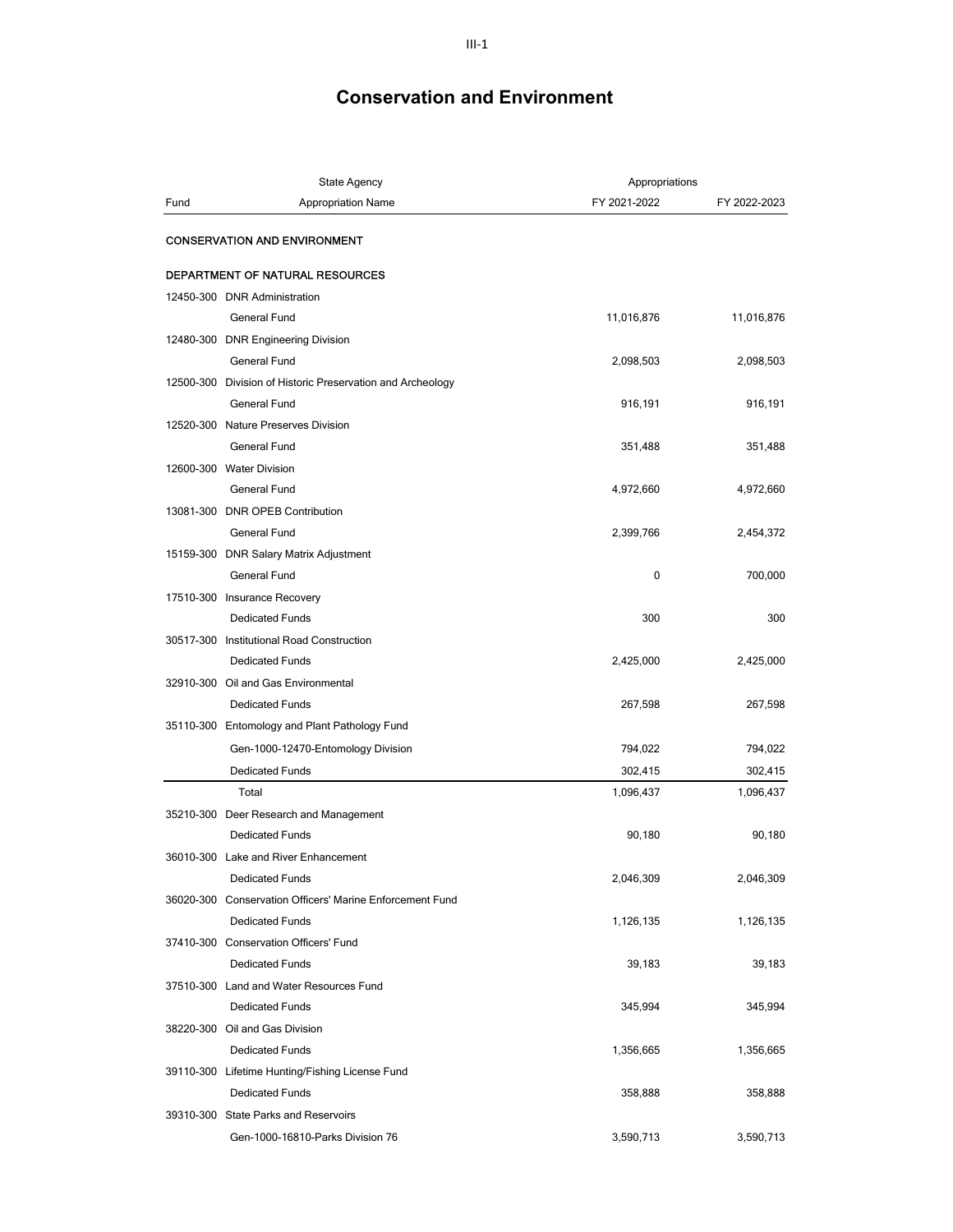|      | <b>State Agency</b>                                        | Appropriations |              |
|------|------------------------------------------------------------|----------------|--------------|
| Fund | <b>Appropriation Name</b>                                  | FY 2021-2022   | FY 2022-2023 |
|      | <b>CONSERVATION AND ENVIRONMENT</b>                        |                |              |
|      | <b>DEPARTMENT OF NATURAL RESOURCES</b>                     |                |              |
|      | 12450-300 DNR Administration                               |                |              |
|      | <b>General Fund</b>                                        | 11,016,876     | 11,016,876   |
|      | 12480-300 DNR Engineering Division                         |                |              |
|      | <b>General Fund</b>                                        | 2,098,503      | 2,098,503    |
|      | 12500-300 Division of Historic Preservation and Archeology |                |              |
|      | General Fund                                               | 916,191        | 916,191      |
|      | 12520-300 Nature Preserves Division                        |                |              |
|      | <b>General Fund</b>                                        | 351,488        | 351,488      |
|      | 12600-300 Water Division                                   |                |              |
|      | <b>General Fund</b>                                        | 4,972,660      | 4,972,660    |
|      | 13081-300 DNR OPEB Contribution                            |                |              |
|      | General Fund                                               | 2,399,766      | 2,454,372    |
|      | 15159-300 DNR Salary Matrix Adjustment                     |                |              |
|      | General Fund                                               | 0              | 700,000      |
|      | 17510-300 Insurance Recovery                               |                |              |
|      | <b>Dedicated Funds</b>                                     | 300            | 300          |
|      | 30517-300 Institutional Road Construction                  |                |              |
|      | <b>Dedicated Funds</b>                                     | 2,425,000      | 2,425,000    |
|      | 32910-300 Oil and Gas Environmental                        |                |              |
|      | <b>Dedicated Funds</b>                                     | 267,598        | 267,598      |
|      | 35110-300 Entomology and Plant Pathology Fund              |                |              |
|      | Gen-1000-12470-Entomology Division                         | 794,022        | 794,022      |
|      | <b>Dedicated Funds</b>                                     | 302,415        | 302,415      |
|      | Total                                                      | 1,096,437      | 1,096,437    |
|      | 35210-300 Deer Research and Management                     |                |              |
|      | <b>Dedicated Funds</b>                                     | 90,180         | 90,180       |
|      | 36010-300 Lake and River Enhancement                       |                |              |
|      | <b>Dedicated Funds</b>                                     | 2,046,309      | 2,046,309    |
|      | 36020-300 Conservation Officers' Marine Enforcement Fund   |                |              |
|      | <b>Dedicated Funds</b>                                     | 1,126,135      | 1,126,135    |
|      | 37410-300 Conservation Officers' Fund                      |                |              |
|      | <b>Dedicated Funds</b>                                     | 39,183         | 39,183       |
|      | 37510-300 Land and Water Resources Fund                    |                |              |
|      | <b>Dedicated Funds</b>                                     | 345,994        | 345,994      |
|      | 38220-300 Oil and Gas Division                             |                |              |
|      | <b>Dedicated Funds</b>                                     | 1,356,665      | 1,356,665    |
|      | 39110-300 Lifetime Hunting/Fishing License Fund            |                |              |
|      | <b>Dedicated Funds</b>                                     | 358,888        | 358,888      |
|      | 39310-300 State Parks and Reservoirs                       |                |              |
|      | Gen-1000-16810-Parks Division 76                           | 3,590,713      | 3,590,713    |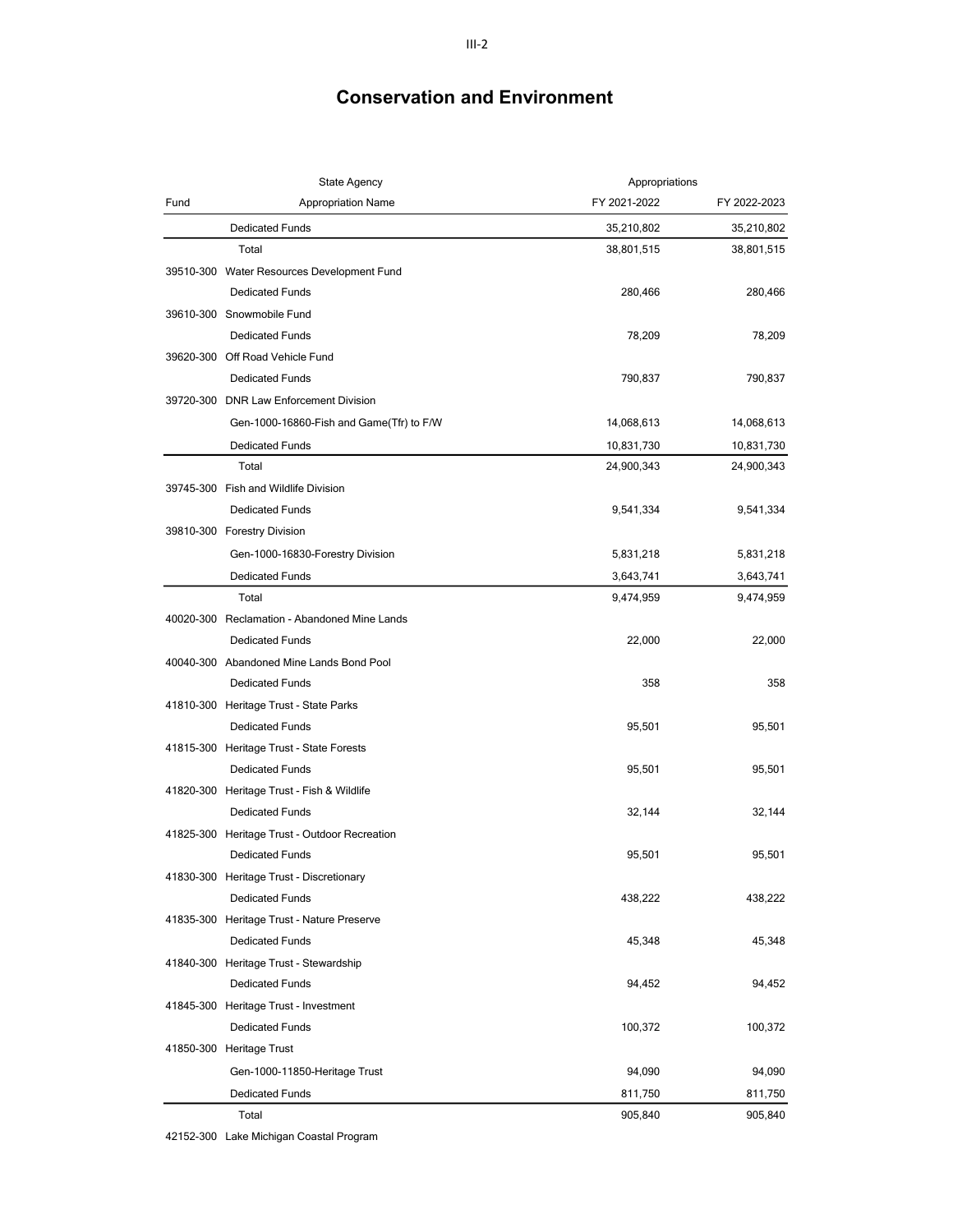|      | <b>State Agency</b>                           | Appropriations |              |
|------|-----------------------------------------------|----------------|--------------|
| Fund | <b>Appropriation Name</b>                     | FY 2021-2022   | FY 2022-2023 |
|      | <b>Dedicated Funds</b>                        | 35,210,802     | 35,210,802   |
|      | Total                                         | 38,801,515     | 38,801,515   |
|      | 39510-300 Water Resources Development Fund    |                |              |
|      | <b>Dedicated Funds</b>                        | 280,466        | 280,466      |
|      | 39610-300 Snowmobile Fund                     |                |              |
|      | <b>Dedicated Funds</b>                        | 78,209         | 78,209       |
|      | 39620-300 Off Road Vehicle Fund               |                |              |
|      | <b>Dedicated Funds</b>                        | 790,837        | 790,837      |
|      | 39720-300 DNR Law Enforcement Division        |                |              |
|      | Gen-1000-16860-Fish and Game(Tfr) to F/W      | 14,068,613     | 14,068,613   |
|      | <b>Dedicated Funds</b>                        | 10,831,730     | 10,831,730   |
|      | Total                                         | 24,900,343     | 24,900,343   |
|      | 39745-300 Fish and Wildlife Division          |                |              |
|      | <b>Dedicated Funds</b>                        | 9,541,334      | 9,541,334    |
|      | 39810-300 Forestry Division                   |                |              |
|      | Gen-1000-16830-Forestry Division              | 5,831,218      | 5,831,218    |
|      | <b>Dedicated Funds</b>                        | 3,643,741      | 3,643,741    |
|      | Total                                         | 9,474,959      | 9,474,959    |
|      | 40020-300 Reclamation - Abandoned Mine Lands  |                |              |
|      | <b>Dedicated Funds</b>                        | 22,000         | 22,000       |
|      | 40040-300 Abandoned Mine Lands Bond Pool      |                |              |
|      | <b>Dedicated Funds</b>                        | 358            | 358          |
|      | 41810-300 Heritage Trust - State Parks        |                |              |
|      | <b>Dedicated Funds</b>                        | 95,501         | 95,501       |
|      | 41815-300 Heritage Trust - State Forests      |                |              |
|      | <b>Dedicated Funds</b>                        | 95,501         | 95,501       |
|      | 41820-300 Heritage Trust - Fish & Wildlife    |                |              |
|      | <b>Dedicated Funds</b>                        | 32,144         | 32,144       |
|      | 41825-300 Heritage Trust - Outdoor Recreation |                |              |
|      | <b>Dedicated Funds</b>                        | 95,501         | 95,501       |
|      | 41830-300 Heritage Trust - Discretionary      |                |              |
|      | <b>Dedicated Funds</b>                        | 438,222        | 438,222      |
|      | 41835-300 Heritage Trust - Nature Preserve    |                |              |
|      | <b>Dedicated Funds</b>                        | 45,348         | 45,348       |
|      | 41840-300 Heritage Trust - Stewardship        |                |              |
|      | <b>Dedicated Funds</b>                        | 94,452         | 94,452       |
|      | 41845-300 Heritage Trust - Investment         |                |              |
|      | <b>Dedicated Funds</b>                        | 100,372        | 100,372      |
|      | 41850-300 Heritage Trust                      |                |              |
|      | Gen-1000-11850-Heritage Trust                 | 94,090         | 94,090       |
|      | <b>Dedicated Funds</b>                        | 811,750        | 811,750      |
|      | Total                                         | 905,840        | 905,840      |

42152-300 Lake Michigan Coastal Program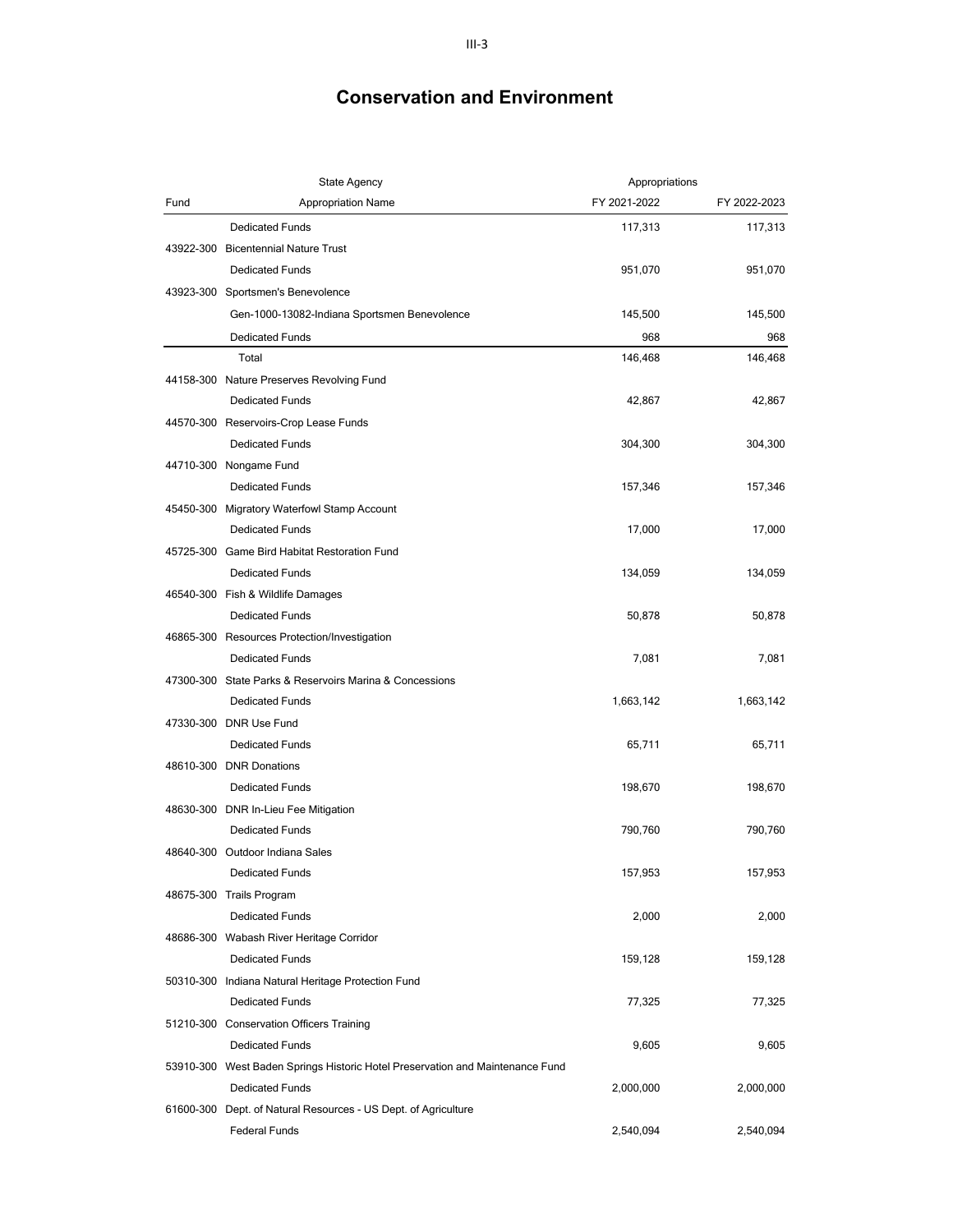|      | <b>State Agency</b>                                                           | Appropriations |              |
|------|-------------------------------------------------------------------------------|----------------|--------------|
| Fund | <b>Appropriation Name</b>                                                     | FY 2021-2022   | FY 2022-2023 |
|      | <b>Dedicated Funds</b>                                                        | 117,313        | 117,313      |
|      | 43922-300 Bicentennial Nature Trust                                           |                |              |
|      | <b>Dedicated Funds</b>                                                        | 951,070        | 951,070      |
|      | 43923-300 Sportsmen's Benevolence                                             |                |              |
|      | Gen-1000-13082-Indiana Sportsmen Benevolence                                  | 145,500        | 145,500      |
|      | <b>Dedicated Funds</b>                                                        | 968            | 968          |
|      | Total                                                                         | 146,468        | 146,468      |
|      | 44158-300 Nature Preserves Revolving Fund                                     |                |              |
|      | <b>Dedicated Funds</b>                                                        | 42,867         | 42,867       |
|      | 44570-300 Reservoirs-Crop Lease Funds                                         |                |              |
|      | <b>Dedicated Funds</b>                                                        | 304,300        | 304,300      |
|      | 44710-300 Nongame Fund                                                        |                |              |
|      | <b>Dedicated Funds</b>                                                        | 157,346        | 157,346      |
|      | 45450-300 Migratory Waterfowl Stamp Account                                   |                |              |
|      | <b>Dedicated Funds</b>                                                        | 17,000         | 17,000       |
|      | 45725-300 Game Bird Habitat Restoration Fund                                  |                |              |
|      | <b>Dedicated Funds</b>                                                        | 134,059        | 134,059      |
|      | 46540-300 Fish & Wildlife Damages                                             |                |              |
|      | <b>Dedicated Funds</b>                                                        | 50,878         | 50,878       |
|      | 46865-300 Resources Protection/Investigation                                  |                |              |
|      | <b>Dedicated Funds</b>                                                        | 7,081          | 7,081        |
|      | 47300-300 State Parks & Reservoirs Marina & Concessions                       |                |              |
|      | <b>Dedicated Funds</b>                                                        | 1,663,142      | 1,663,142    |
|      | 47330-300 DNR Use Fund                                                        |                |              |
|      | <b>Dedicated Funds</b>                                                        | 65,711         | 65,711       |
|      | 48610-300 DNR Donations                                                       |                |              |
|      | <b>Dedicated Funds</b>                                                        | 198,670        | 198,670      |
|      | 48630-300 DNR In-Lieu Fee Mitigation                                          |                |              |
|      | <b>Dedicated Funds</b>                                                        | 790,760        | 790,760      |
|      | 48640-300 Outdoor Indiana Sales                                               |                |              |
|      | <b>Dedicated Funds</b>                                                        | 157,953        | 157,953      |
|      | 48675-300 Trails Program                                                      |                |              |
|      | <b>Dedicated Funds</b>                                                        | 2,000          | 2,000        |
|      | 48686-300 Wabash River Heritage Corridor                                      |                |              |
|      | <b>Dedicated Funds</b>                                                        | 159,128        | 159,128      |
|      | 50310-300 Indiana Natural Heritage Protection Fund                            |                |              |
|      | <b>Dedicated Funds</b>                                                        | 77,325         | 77,325       |
|      | 51210-300 Conservation Officers Training                                      |                |              |
|      | <b>Dedicated Funds</b>                                                        | 9,605          | 9,605        |
|      | 53910-300 West Baden Springs Historic Hotel Preservation and Maintenance Fund |                |              |
|      | <b>Dedicated Funds</b>                                                        | 2,000,000      | 2,000,000    |
|      | 61600-300 Dept. of Natural Resources - US Dept. of Agriculture                |                |              |
|      | Federal Funds                                                                 | 2,540,094      | 2,540,094    |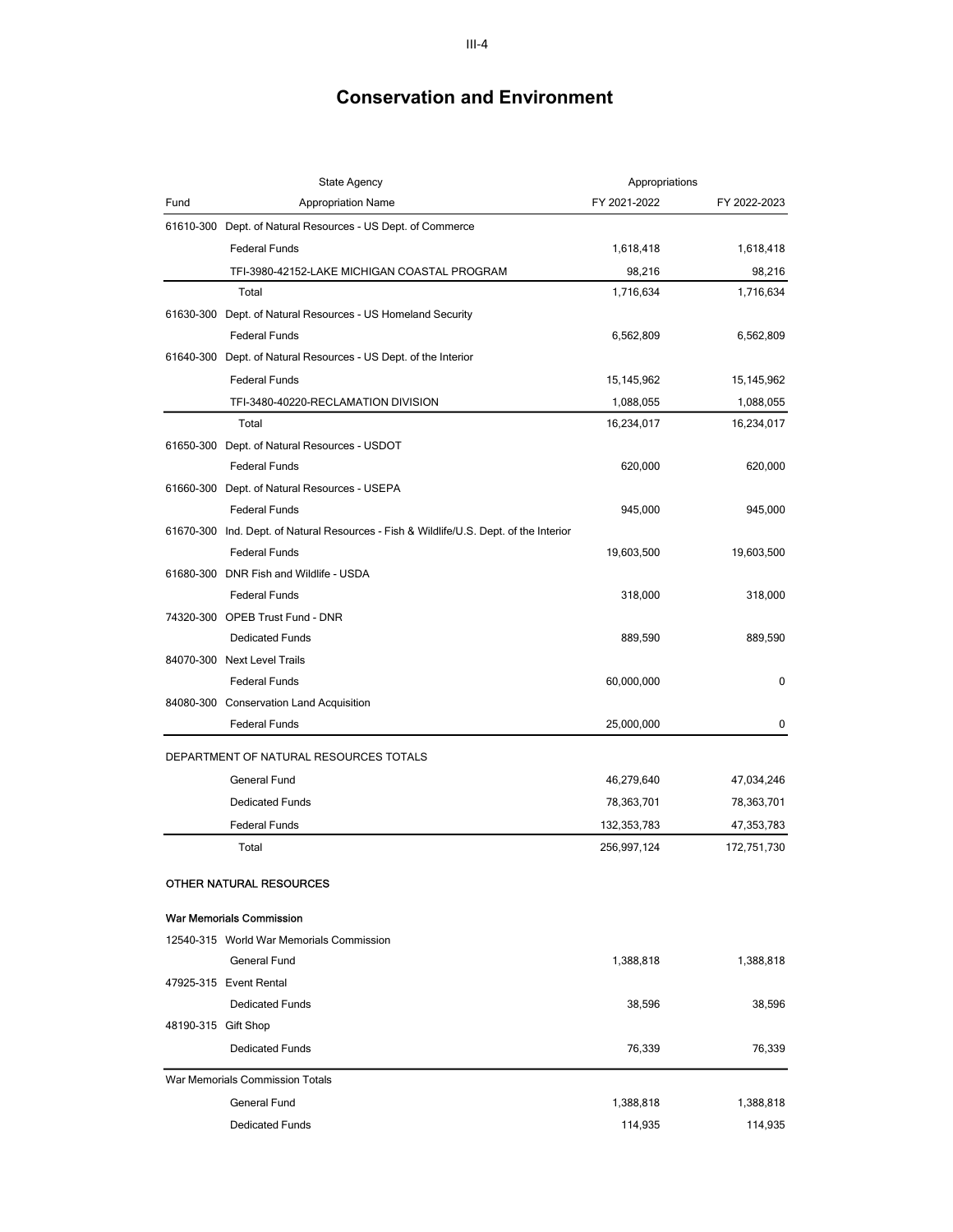|                     | State Agency                                                                           | Appropriations |              |
|---------------------|----------------------------------------------------------------------------------------|----------------|--------------|
| Fund                | <b>Appropriation Name</b>                                                              | FY 2021-2022   | FY 2022-2023 |
|                     | 61610-300 Dept. of Natural Resources - US Dept. of Commerce                            |                |              |
|                     | <b>Federal Funds</b>                                                                   | 1,618,418      | 1,618,418    |
|                     | TFI-3980-42152-LAKE MICHIGAN COASTAL PROGRAM                                           | 98,216         | 98,216       |
|                     | Total                                                                                  | 1,716,634      | 1,716,634    |
|                     | 61630-300 Dept. of Natural Resources - US Homeland Security                            |                |              |
|                     | <b>Federal Funds</b>                                                                   | 6,562,809      | 6,562,809    |
|                     | 61640-300 Dept. of Natural Resources - US Dept. of the Interior                        |                |              |
|                     | <b>Federal Funds</b>                                                                   | 15,145,962     | 15,145,962   |
|                     | TFI-3480-40220-RECLAMATION DIVISION                                                    | 1,088,055      | 1,088,055    |
|                     | Total                                                                                  | 16,234,017     | 16,234,017   |
|                     | 61650-300 Dept. of Natural Resources - USDOT                                           |                |              |
|                     | <b>Federal Funds</b>                                                                   | 620,000        | 620,000      |
|                     | 61660-300 Dept. of Natural Resources - USEPA                                           |                |              |
|                     | <b>Federal Funds</b>                                                                   | 945,000        | 945,000      |
|                     | 61670-300 Ind. Dept. of Natural Resources - Fish & Wildlife/U.S. Dept. of the Interior |                |              |
|                     | <b>Federal Funds</b>                                                                   | 19,603,500     | 19,603,500   |
|                     | 61680-300 DNR Fish and Wildlife - USDA                                                 |                |              |
|                     | <b>Federal Funds</b>                                                                   | 318,000        | 318,000      |
|                     | 74320-300 OPEB Trust Fund - DNR                                                        |                |              |
|                     | <b>Dedicated Funds</b>                                                                 | 889,590        | 889,590      |
|                     | 84070-300 Next Level Trails                                                            |                |              |
|                     | <b>Federal Funds</b>                                                                   | 60,000,000     | 0            |
|                     | 84080-300 Conservation Land Acquisition                                                |                |              |
|                     | <b>Federal Funds</b>                                                                   | 25,000,000     | 0            |
|                     | DEPARTMENT OF NATURAL RESOURCES TOTALS                                                 |                |              |
|                     | General Fund                                                                           | 46,279,640     | 47,034,246   |
|                     | <b>Dedicated Funds</b>                                                                 | 78,363,701     | 78,363,701   |
|                     | <b>Federal Funds</b>                                                                   | 132,353,783    | 47,353,783   |
|                     | Total                                                                                  | 256,997,124    | 172,751,730  |
|                     |                                                                                        |                |              |
|                     | OTHER NATURAL RESOURCES                                                                |                |              |
|                     | <b>War Memorials Commission</b>                                                        |                |              |
|                     | 12540-315 World War Memorials Commission                                               |                |              |
|                     | General Fund                                                                           | 1,388,818      | 1,388,818    |
|                     | 47925-315 Event Rental                                                                 |                |              |
|                     | <b>Dedicated Funds</b>                                                                 | 38,596         | 38,596       |
| 48190-315 Gift Shop |                                                                                        |                |              |
|                     | <b>Dedicated Funds</b>                                                                 | 76,339         | 76,339       |
|                     | War Memorials Commission Totals                                                        |                |              |
|                     | General Fund                                                                           | 1,388,818      | 1,388,818    |
|                     | <b>Dedicated Funds</b>                                                                 | 114,935        | 114,935      |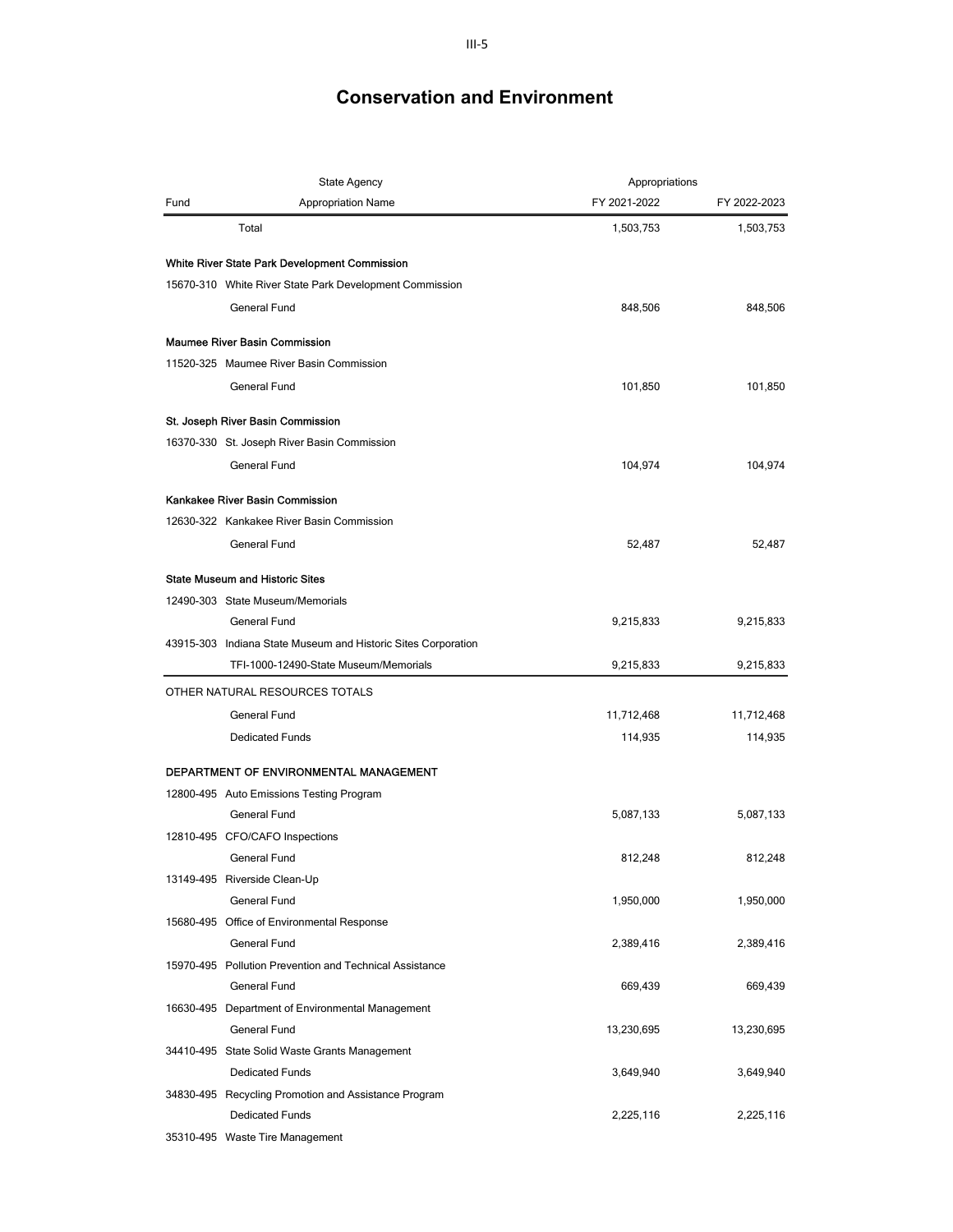|      | <b>State Agency</b>                                           | Appropriations |              |
|------|---------------------------------------------------------------|----------------|--------------|
| Fund | <b>Appropriation Name</b>                                     | FY 2021-2022   | FY 2022-2023 |
|      | Total                                                         | 1,503,753      | 1,503,753    |
|      | White River State Park Development Commission                 |                |              |
|      | 15670-310 White River State Park Development Commission       |                |              |
|      | <b>General Fund</b>                                           | 848,506        | 848,506      |
|      | <b>Maumee River Basin Commission</b>                          |                |              |
|      | 11520-325 Maumee River Basin Commission                       |                |              |
|      | <b>General Fund</b>                                           | 101,850        | 101,850      |
|      | St. Joseph River Basin Commission                             |                |              |
|      | 16370-330 St. Joseph River Basin Commission                   |                |              |
|      | General Fund                                                  | 104,974        | 104,974      |
|      | Kankakee River Basin Commission                               |                |              |
|      | 12630-322 Kankakee River Basin Commission                     |                |              |
|      | General Fund                                                  | 52,487         | 52,487       |
|      | <b>State Museum and Historic Sites</b>                        |                |              |
|      | 12490-303 State Museum/Memorials                              |                |              |
|      | <b>General Fund</b>                                           | 9,215,833      | 9,215,833    |
|      | 43915-303 Indiana State Museum and Historic Sites Corporation |                |              |
|      | TFI-1000-12490-State Museum/Memorials                         | 9,215,833      | 9,215,833    |
|      | OTHER NATURAL RESOURCES TOTALS                                |                |              |
|      | General Fund                                                  | 11,712,468     | 11,712,468   |
|      | <b>Dedicated Funds</b>                                        | 114,935        | 114,935      |
|      | DEPARTMENT OF ENVIRONMENTAL MANAGEMENT                        |                |              |
|      | 12800-495 Auto Emissions Testing Program                      |                |              |
|      | General Fund                                                  | 5,087,133      | 5,087,133    |
|      | 12810-495 CFO/CAFO Inspections                                |                |              |
|      | General Fund                                                  | 812,248        | 812,248      |
|      | 13149-495 Riverside Clean-Up                                  |                |              |
|      | General Fund                                                  | 1,950,000      | 1,950,000    |
|      | 15680-495 Office of Environmental Response                    |                |              |
|      | General Fund                                                  | 2,389,416      | 2,389,416    |
|      | 15970-495 Pollution Prevention and Technical Assistance       |                |              |
|      | General Fund                                                  | 669,439        | 669,439      |
|      | 16630-495 Department of Environmental Management              |                |              |
|      | <b>General Fund</b>                                           | 13,230,695     | 13,230,695   |
|      | 34410-495 State Solid Waste Grants Management                 |                |              |
|      | <b>Dedicated Funds</b>                                        | 3,649,940      | 3,649,940    |
|      | 34830-495 Recycling Promotion and Assistance Program          |                |              |
|      | <b>Dedicated Funds</b>                                        | 2,225,116      | 2,225,116    |
|      | 35310-495 Waste Tire Management                               |                |              |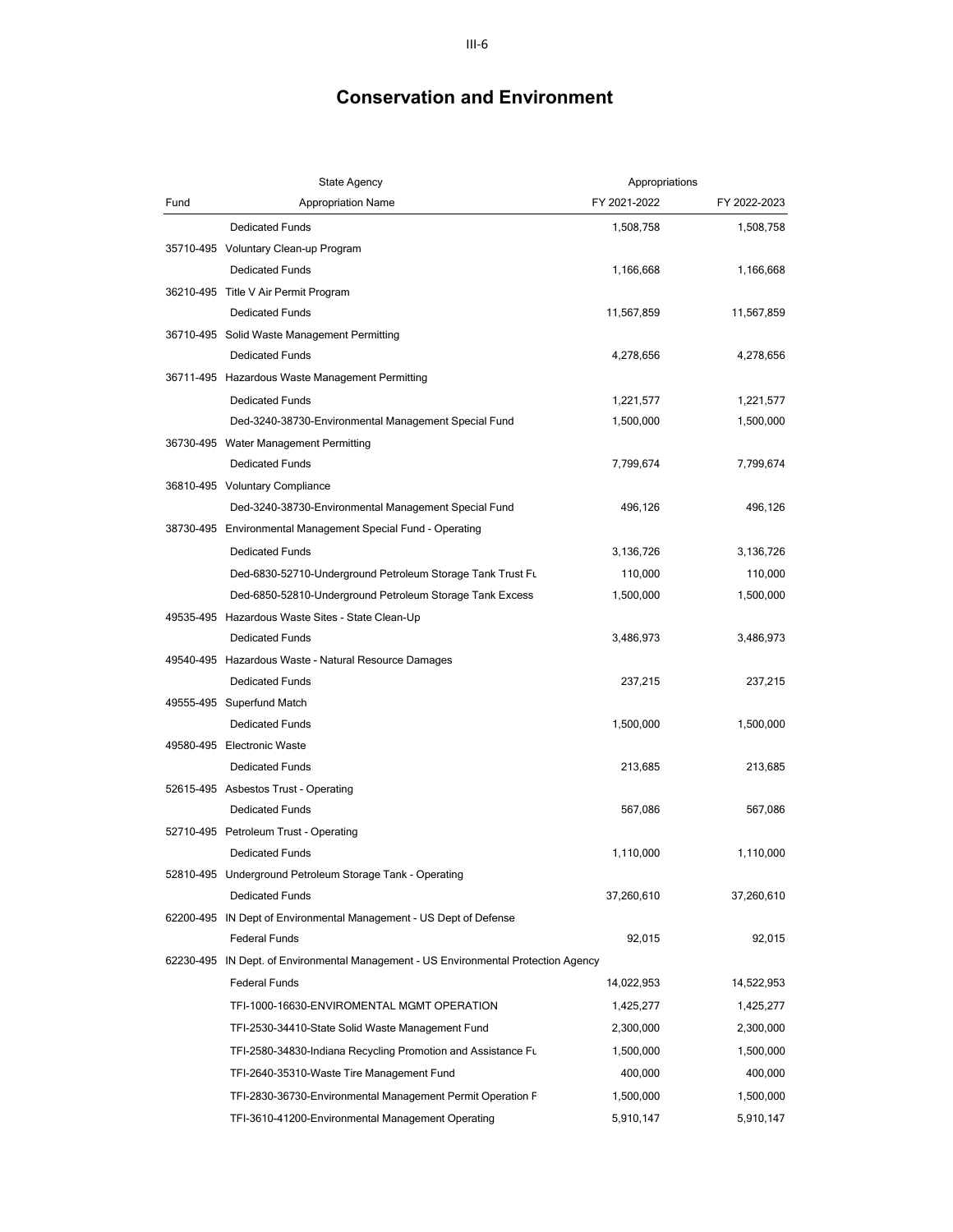|      | <b>State Agency</b>                                                                 | Appropriations |              |
|------|-------------------------------------------------------------------------------------|----------------|--------------|
| Fund | Appropriation Name                                                                  | FY 2021-2022   | FY 2022-2023 |
|      | <b>Dedicated Funds</b>                                                              | 1,508,758      | 1,508,758    |
|      | 35710-495 Voluntary Clean-up Program                                                |                |              |
|      | <b>Dedicated Funds</b>                                                              | 1,166,668      | 1,166,668    |
|      | 36210-495 Title V Air Permit Program                                                |                |              |
|      | <b>Dedicated Funds</b>                                                              | 11,567,859     | 11,567,859   |
|      | 36710-495 Solid Waste Management Permitting                                         |                |              |
|      | <b>Dedicated Funds</b>                                                              | 4,278,656      | 4,278,656    |
|      | 36711-495 Hazardous Waste Management Permitting                                     |                |              |
|      | <b>Dedicated Funds</b>                                                              | 1,221,577      | 1,221,577    |
|      | Ded-3240-38730-Environmental Management Special Fund                                | 1,500,000      | 1,500,000    |
|      | 36730-495 Water Management Permitting                                               |                |              |
|      | <b>Dedicated Funds</b>                                                              | 7,799,674      | 7,799,674    |
|      | 36810-495 Voluntary Compliance                                                      |                |              |
|      | Ded-3240-38730-Environmental Management Special Fund                                | 496,126        | 496,126      |
|      | 38730-495 Environmental Management Special Fund - Operating                         |                |              |
|      | <b>Dedicated Funds</b>                                                              | 3,136,726      | 3,136,726    |
|      | Ded-6830-52710-Underground Petroleum Storage Tank Trust Fu                          | 110,000        | 110,000      |
|      | Ded-6850-52810-Underground Petroleum Storage Tank Excess                            | 1,500,000      | 1,500,000    |
|      | 49535-495 Hazardous Waste Sites - State Clean-Up                                    |                |              |
|      | <b>Dedicated Funds</b>                                                              | 3,486,973      | 3,486,973    |
|      | 49540-495 Hazardous Waste - Natural Resource Damages                                |                |              |
|      | <b>Dedicated Funds</b>                                                              | 237,215        | 237,215      |
|      | 49555-495 Superfund Match                                                           |                |              |
|      | <b>Dedicated Funds</b>                                                              | 1,500,000      | 1,500,000    |
|      | 49580-495 Electronic Waste                                                          |                |              |
|      | <b>Dedicated Funds</b>                                                              | 213,685        | 213,685      |
|      | 52615-495 Asbestos Trust - Operating                                                |                |              |
|      | <b>Dedicated Funds</b>                                                              | 567,086        | 567,086      |
|      | 52710-495 Petroleum Trust - Operating                                               |                |              |
|      | <b>Dedicated Funds</b>                                                              | 1,110,000      | 1,110,000    |
|      | 52810-495 Underground Petroleum Storage Tank - Operating                            |                |              |
|      | <b>Dedicated Funds</b>                                                              | 37,260,610     | 37,260,610   |
|      | 62200-495 IN Dept of Environmental Management - US Dept of Defense                  |                |              |
|      | <b>Federal Funds</b>                                                                | 92,015         | 92,015       |
|      | 62230-495 IN Dept. of Environmental Management - US Environmental Protection Agency |                |              |
|      | <b>Federal Funds</b>                                                                | 14,022,953     | 14,522,953   |
|      | TFI-1000-16630-ENVIROMENTAL MGMT OPERATION                                          | 1,425,277      | 1,425,277    |
|      | TFI-2530-34410-State Solid Waste Management Fund                                    | 2,300,000      | 2,300,000    |
|      | TFI-2580-34830-Indiana Recycling Promotion and Assistance Fu                        | 1,500,000      | 1,500,000    |
|      | TFI-2640-35310-Waste Tire Management Fund                                           | 400,000        | 400,000      |
|      | TFI-2830-36730-Environmental Management Permit Operation F                          | 1,500,000      | 1,500,000    |
|      | TFI-3610-41200-Environmental Management Operating                                   | 5,910,147      | 5,910,147    |